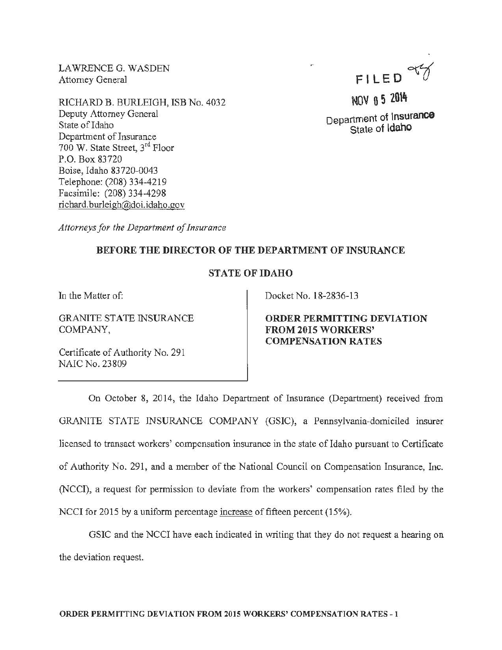LAWRENCE G. WASDEN Attorney General

RICHARD B. BURLEIGH, ISB No. 4032 Deputy Attorney General State of Idaho Department of Insurance 700 W. State Street, 3rd Floor P.O. Box 83720 Boise, Idaho 83720-0043 Telephone: (208) 334-4219 Facsimile: (208) 334-4298 richard.burleigh@doi.idaho.gov

FILED~

NOV 0 5 2014 Department of Insurance State of ldaho

*Attorneys for the Department of Insurance* 

## BEFORE THE DIRECTOR OF THE DEPARTMENT OF INSURANCE

## STATE OF IDAHO

In the Matter of:

GRANITE STATE INSURANCE COMPANY,

Certificate of Authority No. 291 NAIC No. 23809

Docket No. 18-2836-13

ORDER PERMITTING DEVIATION FROM 2015 WORKERS' COMPENSATION RATES

On October 8, 2014, the Idaho Department of Insurance (Department) received from GRANITE STATE INSURANCE COMPANY (GSIC), a Pennsylvania-domiciled insurer licensed to transact workers' compensation insurance in the state of Idaho pursuant to Certificate of Authority No. 291, and a member of the National Council on Compensation Insurance, Inc. (NCCI), a request for permission to deviate from the workers' compensation rates filed by the NCCI for 2015 by a uniform percentage increase of fifteen percent (15%).

GSIC and the NCCI have each indicated in writing that they do not request a hearing on the deviation request.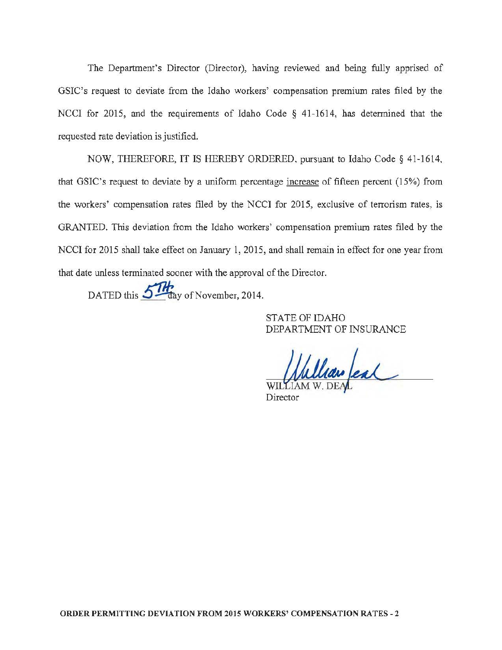The Department's Director (Director), having reviewed and being fully apprised of GSIC's request to deviate from the Idaho workers' compensation premium rates filed by the NCCI for 2015, and the requirements of Idaho Code § 41-1614, has determined that the requested rate deviation is justified.

NOW, THEREFORE, IT IS HEREBY ORDERED. pursuant to Idaho Code§ 41-1614, that GSIC's request to deviate by a uniform percentage increase of fifteen percent (15%) from the workers' compensation rates filed by the NCCI for 2015, exclusive of terrorism rates, is GRANTED. This deviation from the Idaho workers' compensation premium rates filed by the NCCI for 2015 shall take effect on January 1, 2015, and shall remain in effect for one year from that date unless terminated sooner with the approval of the Director.

DATED this 5<sup>11</sup> day of November, 2014.

STATE OF IDAHO DEPARTMENT OF INSURANCE

William feal

Director